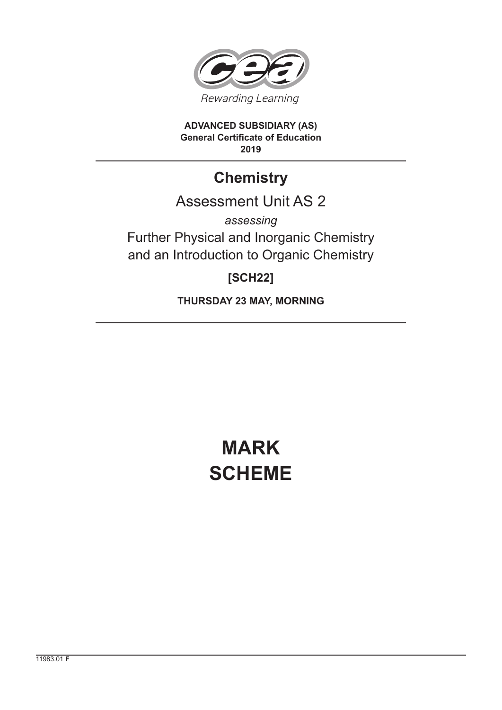

#### **ADVANCED SUBSIDIARY (AS) General Certificate of Education 2019**

## **Chemistry**

## Assessment Unit AS 2

*assessing* Further Physical and Inorganic Chemistry and an Introduction to Organic Chemistry

### **[SCH22]**

**THURSDAY 23 MAY, MORNING**

# **MARK SCHEME**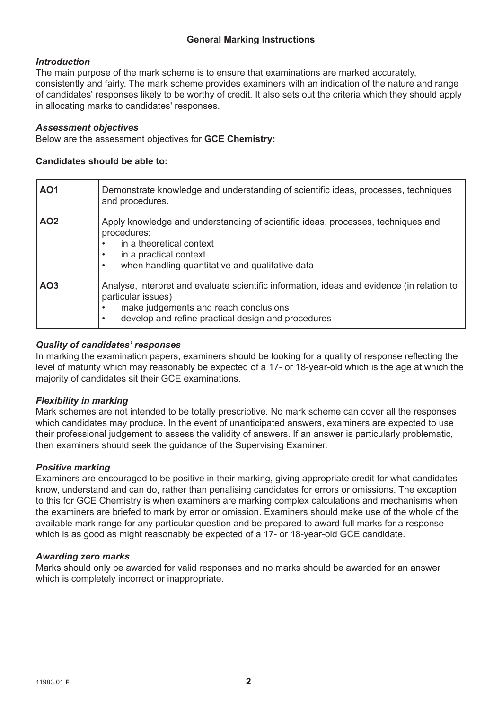#### **General Marking Instructions**

#### *Introduction*

The main purpose of the mark scheme is to ensure that examinations are marked accurately, consistently and fairly. The mark scheme provides examiners with an indication of the nature and range of candidates' responses likely to be worthy of credit. It also sets out the criteria which they should apply in allocating marks to candidates' responses.

#### *Assessment objectives*

Below are the assessment objectives for **GCE Chemistry:**

#### **Candidates should be able to:**

| AO <sub>1</sub> | Demonstrate knowledge and understanding of scientific ideas, processes, techniques<br>and procedures.                                                                                                                        |
|-----------------|------------------------------------------------------------------------------------------------------------------------------------------------------------------------------------------------------------------------------|
| AO <sub>2</sub> | Apply knowledge and understanding of scientific ideas, processes, techniques and<br>procedures:<br>in a theoretical context<br>$\bullet$<br>in a practical context<br>when handling quantitative and qualitative data        |
| AO <sub>3</sub> | Analyse, interpret and evaluate scientific information, ideas and evidence (in relation to<br>particular issues)<br>make judgements and reach conclusions<br>develop and refine practical design and procedures<br>$\bullet$ |

#### *Quality of candidates' responses*

In marking the examination papers, examiners should be looking for a quality of response reflecting the level of maturity which may reasonably be expected of a 17- or 18-year-old which is the age at which the majority of candidates sit their GCE examinations.

#### *Flexibility in marking*

Mark schemes are not intended to be totally prescriptive. No mark scheme can cover all the responses which candidates may produce. In the event of unanticipated answers, examiners are expected to use their professional judgement to assess the validity of answers. If an answer is particularly problematic, then examiners should seek the guidance of the Supervising Examiner.

#### *Positive marking*

Examiners are encouraged to be positive in their marking, giving appropriate credit for what candidates know, understand and can do, rather than penalising candidates for errors or omissions. The exception to this for GCE Chemistry is when examiners are marking complex calculations and mechanisms when the examiners are briefed to mark by error or omission. Examiners should make use of the whole of the available mark range for any particular question and be prepared to award full marks for a response which is as good as might reasonably be expected of a 17- or 18-year-old GCE candidate.

#### *Awarding zero marks*

Marks should only be awarded for valid responses and no marks should be awarded for an answer which is completely incorrect or inappropriate.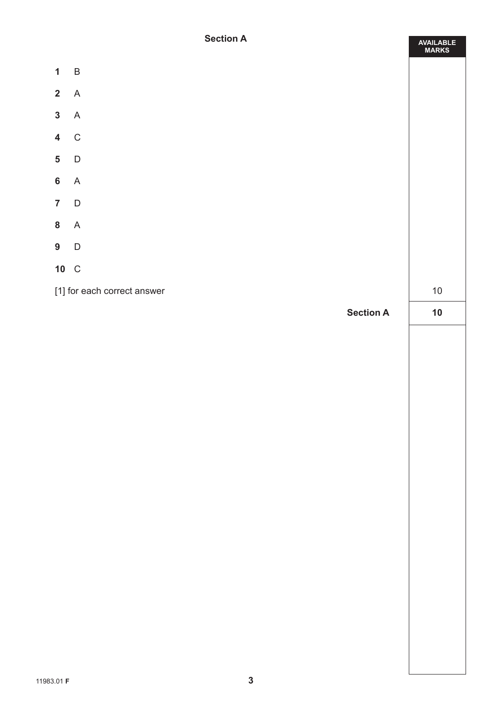#### **Section A**

**AVAILABLE**

|                         |                             | <b>MARKS</b> |
|-------------------------|-----------------------------|--------------|
| $\mathbf 1$             | $\sf B$                     |              |
| $\overline{\mathbf{2}}$ | $\overline{A}$              |              |
| $\overline{\mathbf{3}}$ | $\boldsymbol{\mathsf{A}}$   |              |
| $\overline{\mathbf{4}}$ | $\mathsf{C}$                |              |
| $\overline{\mathbf{5}}$ | $\mathsf D$                 |              |
| $6\phantom{a}$          | $\boldsymbol{\mathsf{A}}$   |              |
| $\overline{7}$          | $\mathsf D$                 |              |
| $\bf{8}$                | A                           |              |
| $\overline{9}$          | $\mathsf D$                 |              |
| 10 C                    |                             |              |
|                         | [1] for each correct answer | $10\,$       |
|                         | <b>Section A</b>            | 10           |
|                         |                             |              |
|                         |                             |              |
|                         |                             |              |
|                         |                             |              |
|                         |                             |              |
|                         |                             |              |
|                         |                             |              |
|                         |                             |              |
|                         |                             |              |
|                         |                             |              |
|                         |                             |              |
|                         |                             |              |
|                         |                             |              |
|                         |                             |              |
|                         |                             |              |
|                         |                             |              |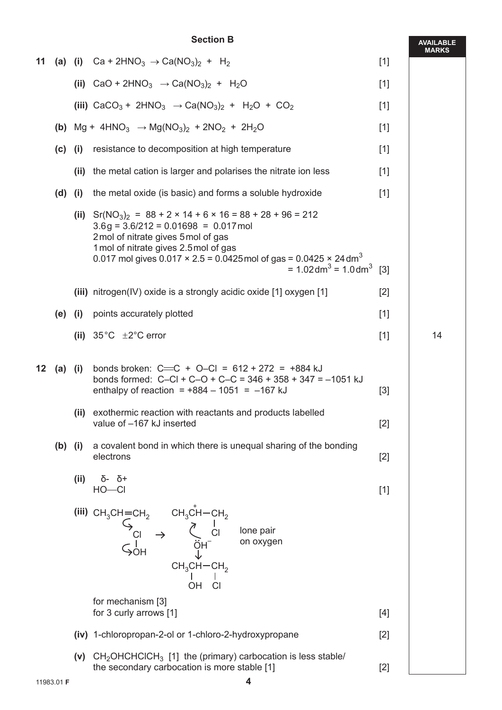#### **Section B**

|            |      | <b>Section B</b>                                                                                                                                                                                                                                                                                                                               |       | <b>AVAILABLE</b> |
|------------|------|------------------------------------------------------------------------------------------------------------------------------------------------------------------------------------------------------------------------------------------------------------------------------------------------------------------------------------------------|-------|------------------|
|            |      | 11 (a) (i) $Ca + 2HNO_3 \rightarrow Ca(NO_3)_2 + H_2$                                                                                                                                                                                                                                                                                          | $[1]$ | <b>MARKS</b>     |
|            |      | (ii) CaO + 2HNO <sub>3</sub> $\rightarrow$ Ca(NO <sub>3</sub> ) <sub>2</sub> + H <sub>2</sub> O                                                                                                                                                                                                                                                | $[1]$ |                  |
|            |      | (iii) $CaCO_3 + 2HNO_3 \rightarrow Ca(NO_3)_{2} + H_{2}O + CO_{2}$                                                                                                                                                                                                                                                                             | $[1]$ |                  |
|            |      | (b) Mg + 4HNO <sub>3</sub> $\rightarrow$ Mg(NO <sub>3</sub> ) <sub>2</sub> + 2NO <sub>2</sub> + 2H <sub>2</sub> O                                                                                                                                                                                                                              | $[1]$ |                  |
| (c)        | (i)  | resistance to decomposition at high temperature                                                                                                                                                                                                                                                                                                | $[1]$ |                  |
|            |      | (ii) the metal cation is larger and polarises the nitrate ion less                                                                                                                                                                                                                                                                             | $[1]$ |                  |
| (d)        | (i)  | the metal oxide (is basic) and forms a soluble hydroxide                                                                                                                                                                                                                                                                                       | $[1]$ |                  |
|            |      | (ii) $Sr(NO3)2 = 88 + 2 \times 14 + 6 \times 16 = 88 + 28 + 96 = 212$<br>$3.6g = 3.6/212 = 0.01698 = 0.017$ mol<br>2 mol of nitrate gives 5 mol of gas<br>1 mol of nitrate gives 2.5 mol of gas<br>0.017 mol gives 0.017 $\times$ 2.5 = 0.0425 mol of gas = 0.0425 $\times$ 24 dm <sup>3</sup><br>$= 1.02 \text{ dm}^3 = 1.0 \text{ dm}^3$ [3] |       |                  |
|            |      | (iii) nitrogen(IV) oxide is a strongly acidic oxide [1] oxygen [1]                                                                                                                                                                                                                                                                             | $[2]$ |                  |
| (e)        | (i)  | points accurately plotted                                                                                                                                                                                                                                                                                                                      | $[1]$ |                  |
|            |      | (ii) $35^{\circ}$ C $\pm 2^{\circ}$ C error                                                                                                                                                                                                                                                                                                    | $[1]$ | 14               |
| 12 (a) (i) |      | bonds broken: $C=C + O-Cl = 612 + 272 = +884$ kJ<br>bonds formed: $C-CI + C-O + C-C = 346 + 358 + 347 = -1051$ kJ<br>enthalpy of reaction = $+884 - 1051 = -167$ kJ                                                                                                                                                                            | $[3]$ |                  |
|            |      | (ii) exothermic reaction with reactants and products labelled<br>value of -167 kJ inserted                                                                                                                                                                                                                                                     | $[2]$ |                  |
| $(b)$ (i)  |      | a covalent bond in which there is unequal sharing of the bonding<br>electrons                                                                                                                                                                                                                                                                  | $[2]$ |                  |
|            | (ii) | $Q - Q +$<br>$HO$ — $Cl$                                                                                                                                                                                                                                                                                                                       | $[1]$ |                  |
|            |      | (iii) $CH_3CH=CH_2$<br>$G_1 \rightarrow C_1 \rightarrow C_1$<br>$G_1 \rightarrow C_1$<br>$G_1 \rightarrow C_1$<br>$G_1 \rightarrow C_1$<br>lone pair<br>on oxygen<br>$\begin{array}{c}\nCH_3CH-CH_2\\ \nI & I\n\end{array}$<br>OH<br>CI                                                                                                        |       |                  |
|            |      | for mechanism [3]<br>for 3 curly arrows [1]                                                                                                                                                                                                                                                                                                    | $[4]$ |                  |
|            |      | (iv) 1-chloropropan-2-ol or 1-chloro-2-hydroxypropane                                                                                                                                                                                                                                                                                          | $[2]$ |                  |
| 11983.01 F |      | (v) $CH_2OHCHClCH_3$ [1] the (primary) carbocation is less stable/<br>the secondary carbocation is more stable [1]<br>4                                                                                                                                                                                                                        | $[2]$ |                  |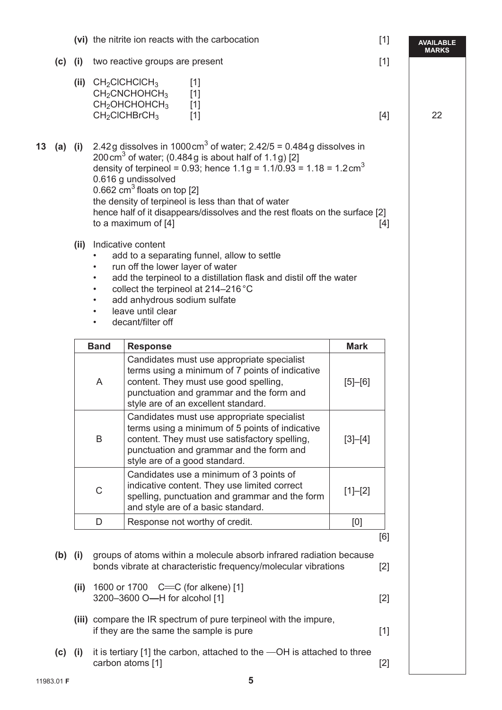**(vi)** the nitrite ion reacts with the carbocation [1]

**AVAILABLE MARKS**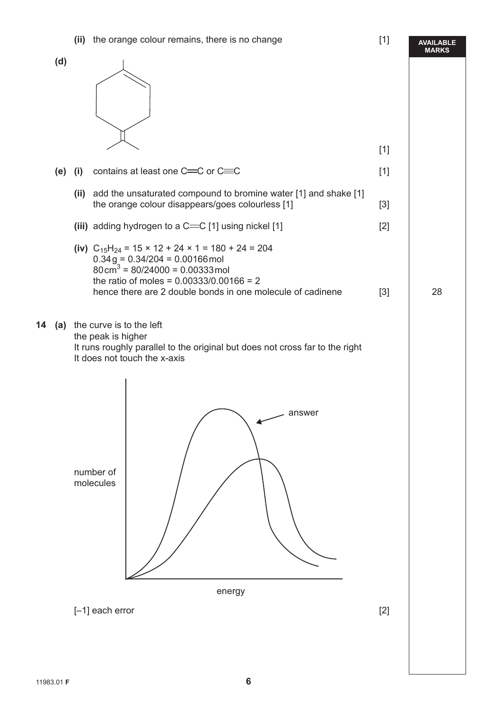**(ii)** the orange colour remains, there is no change [1]